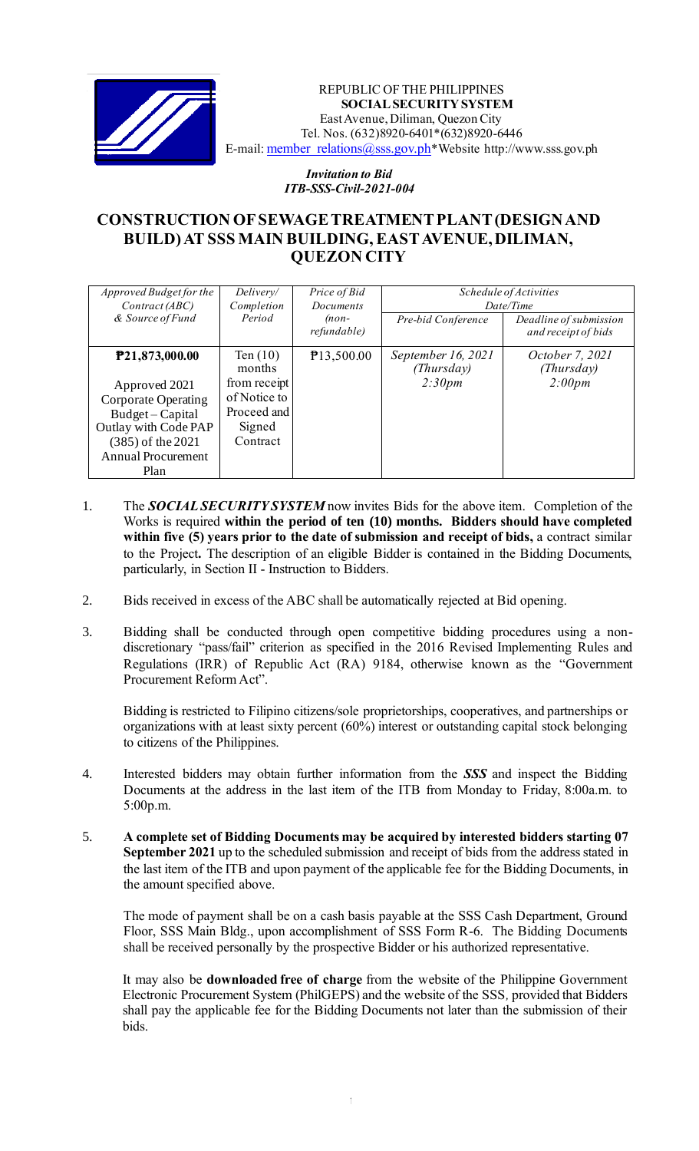

REPUBLIC OF THE PHILIPPINES **SOCIAL SECURITY SYSTEM** East Avenue, Diliman, Quezon City Tel. Nos. (632)8920-6401\*(632)8920-6446 E-mail: member\_relations@sss.gov.ph\*Website http://www.sss.gov.ph

> *Invitation to Bid ITB-SSS-Civil-2021-004*

## **CONSTRUCTION OF SEWAGE TREATMENT PLANT (DESIGN AND BUILD) AT SSS MAIN BUILDING, EAST AVENUE, DILIMAN, QUEZON CITY**

| <i>Approved Budget for the</i><br>Contract (ABC)<br>& Source of Fund                                                                                                      | Delivery/<br>Completion<br>Period                                                         | Price of Bid<br><b>Documents</b><br>$(non-$<br>refundable) | Pre-bid Conference                         | Schedule of Activities<br>Date/Time<br>Deadline of submission<br>and receipt of bids |
|---------------------------------------------------------------------------------------------------------------------------------------------------------------------------|-------------------------------------------------------------------------------------------|------------------------------------------------------------|--------------------------------------------|--------------------------------------------------------------------------------------|
| P <sub>21</sub> ,873,000.00<br>Approved 2021<br>Corporate Operating<br>Budget - Capital<br>Outlay with Code PAP<br>(385) of the 2021<br><b>Annual Procurement</b><br>Plan | Ten $(10)$<br>months<br>from receipt<br>of Notice to<br>Proceed and<br>Signed<br>Contract | P13,500.00                                                 | September 16, 2021<br>(Thursday)<br>2:30pm | October 7, 2021<br>(Thursday)<br>2:00pm                                              |

- 1. The *SOCIAL SECURITY SYSTEM* now invites Bids for the above item. Completion of the Works is required **within the period of ten (10) months. Bidders should have completed within five (5) years prior to the date of submission and receipt of bids,** a contract similar to the Project**.** The description of an eligible Bidder is contained in the Bidding Documents, particularly, in Section II - Instruction to Bidders.
- 2. Bids received in excess of the ABC shall be automatically rejected at Bid opening.
- 3. Bidding shall be conducted through open competitive bidding procedures using a nondiscretionary "pass/fail" criterion as specified in the 2016 Revised Implementing Rules and Regulations (IRR) of Republic Act (RA) 9184, otherwise known as the "Government Procurement Reform Act".

Bidding is restricted to Filipino citizens/sole proprietorships, cooperatives, and partnerships or organizations with at least sixty percent (60%) interest or outstanding capital stock belonging to citizens of the Philippines.

- 4. Interested bidders may obtain further information from the *SSS* and inspect the Bidding Documents at the address in the last item of the ITB from Monday to Friday, 8:00a.m. to 5:00p.m.
- 5. **A complete set of Bidding Documents may be acquired by interested bidders starting 07 September 2021** up to the scheduled submission and receipt of bids from the address stated in the last item of the ITB and upon payment of the applicable fee for the Bidding Documents, in the amount specified above.

The mode of payment shall be on a cash basis payable at the SSS Cash Department, Ground Floor, SSS Main Bldg., upon accomplishment of SSS Form R-6. The Bidding Documents shall be received personally by the prospective Bidder or his authorized representative.

It may also be **downloaded free of charge** from the website of the Philippine Government Electronic Procurement System (PhilGEPS) and the website of the SSS*,* provided that Bidders shall pay the applicable fee for the Bidding Documents not later than the submission of their bids.